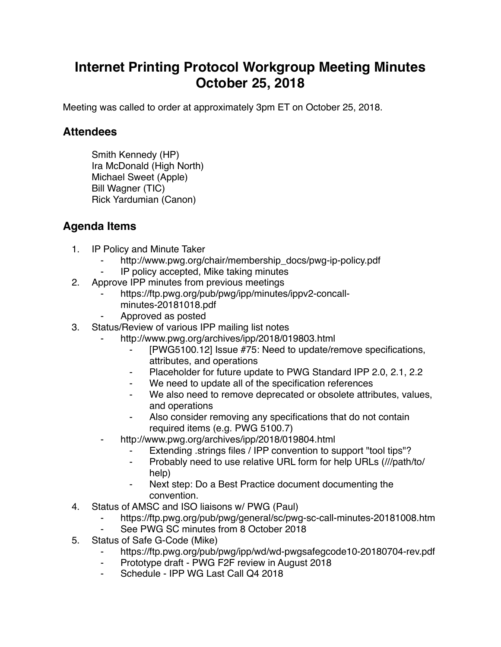# **Internet Printing Protocol Workgroup Meeting Minutes October 25, 2018**

Meeting was called to order at approximately 3pm ET on October 25, 2018.

## **Attendees**

Smith Kennedy (HP) Ira McDonald (High North) Michael Sweet (Apple) Bill Wagner (TIC) Rick Yardumian (Canon)

# **Agenda Items**

- 1. IP Policy and Minute Taker
	- http://www.pwg.org/chair/membership\_docs/pwg-ip-policy.pdf
	- IP policy accepted, Mike taking minutes
- 2. Approve IPP minutes from previous meetings
	- https://ftp.pwg.org/pub/pwg/ipp/minutes/ippv2-concallminutes-20181018.pdf
	- ⁃ Approved as posted
- 3. Status/Review of various IPP mailing list notes
	- http://www.pwg.org/archives/ipp/2018/019803.html
		- [PWG5100.12] Issue #75: Need to update/remove specifications, attributes, and operations
		- ⁃ Placeholder for future update to PWG Standard IPP 2.0, 2.1, 2.2
		- We need to update all of the specification references
		- We also need to remove deprecated or obsolete attributes, values, and operations
		- ⁃ Also consider removing any specifications that do not contain required items (e.g. PWG 5100.7)
	- http://www.pwg.org/archives/ipp/2018/019804.html
		- Extending .strings files / IPP convention to support "tool tips"?
		- Probably need to use relative URL form for help URLs (///path/to/ help)
		- ⁃ Next step: Do a Best Practice document documenting the convention.
- 4. Status of AMSC and ISO liaisons w/ PWG (Paul)
	- https://ftp.pwg.org/pub/pwg/general/sc/pwg-sc-call-minutes-20181008.htm
	- See PWG SC minutes from 8 October 2018
- 5. Status of Safe G-Code (Mike)
	- https://ftp.pwg.org/pub/pwg/ipp/wd/wd-pwgsafegcode10-20180704-rev.pdf
	- ⁃ Prototype draft PWG F2F review in August 2018
	- ⁃ Schedule IPP WG Last Call Q4 2018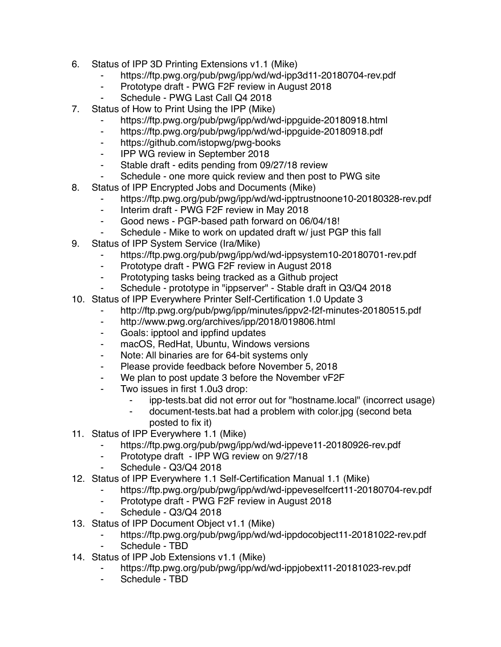- 6. Status of IPP 3D Printing Extensions v1.1 (Mike)
	- ⁃ https://ftp.pwg.org/pub/pwg/ipp/wd/wd-ipp3d11-20180704-rev.pdf
	- Prototype draft PWG F2F review in August 2018
	- Schedule PWG Last Call Q4 2018
- 7. Status of How to Print Using the IPP (Mike)
	- https://ftp.pwg.org/pub/pwg/ipp/wd/wd-ippguide-20180918.html
	- ⁃ https://ftp.pwg.org/pub/pwg/ipp/wd/wd-ippguide-20180918.pdf
	- ⁃ https://github.com/istopwg/pwg-books
	- ⁃ IPP WG review in September 2018
	- ⁃ Stable draft edits pending from 09/27/18 review
	- ⁃ Schedule one more quick review and then post to PWG site
- 8. Status of IPP Encrypted Jobs and Documents (Mike)
	- https://ftp.pwg.org/pub/pwg/ipp/wd/wd-ipptrustnoone10-20180328-rev.pdf
	- ⁃ Interim draft PWG F2F review in May 2018
	- ⁃ Good news PGP-based path forward on 06/04/18!
	- Schedule Mike to work on updated draft w/ just PGP this fall
- 9. Status of IPP System Service (Ira/Mike)
	- https://ftp.pwg.org/pub/pwg/ipp/wd/wd-ippsystem10-20180701-rev.pdf
	- ⁃ Prototype draft PWG F2F review in August 2018
	- ⁃ Prototyping tasks being tracked as a Github project
	- Schedule prototype in "ippserver" Stable draft in Q3/Q4 2018
- 10. Status of IPP Everywhere Printer Self-Certification 1.0 Update 3
	- ⁃ http://ftp.pwg.org/pub/pwg/ipp/minutes/ippv2-f2f-minutes-20180515.pdf
	- ⁃ http://www.pwg.org/archives/ipp/2018/019806.html
	- ⁃ Goals: ipptool and ippfind updates
	- ⁃ macOS, RedHat, Ubuntu, Windows versions
	- ⁃ Note: All binaries are for 64-bit systems only
	- ⁃ Please provide feedback before November 5, 2018
	- We plan to post update 3 before the November vF2F
	- Two issues in first 1.0u3 drop:
		- ipp-tests.bat did not error out for "hostname.local" (incorrect usage)
		- ⁃ document-tests.bat had a problem with color.jpg (second beta posted to fix it)
- 11. Status of IPP Everywhere 1.1 (Mike)
	- ⁃ https://ftp.pwg.org/pub/pwg/ipp/wd/wd-ippeve11-20180926-rev.pdf
	- Prototype draft IPP WG review on 9/27/18
	- Schedule Q3/Q4 2018
- 12. Status of IPP Everywhere 1.1 Self-Certification Manual 1.1 (Mike)
	- https://ftp.pwg.org/pub/pwg/ipp/wd/wd-ippeveselfcert11-20180704-rev.pdf
	- ⁃ Prototype draft PWG F2F review in August 2018
	- Schedule Q3/Q4 2018
- 13. Status of IPP Document Object v1.1 (Mike)

#### https://ftp.pwg.org/pub/pwg/ipp/wd/wd-ippdocobject11-20181022-rev.pdf

- Schedule TBD
- 14. Status of IPP Job Extensions v1.1 (Mike)
	- https://ftp.pwg.org/pub/pwg/ipp/wd/wd-ippjobext11-20181023-rev.pdf
	- Schedule TBD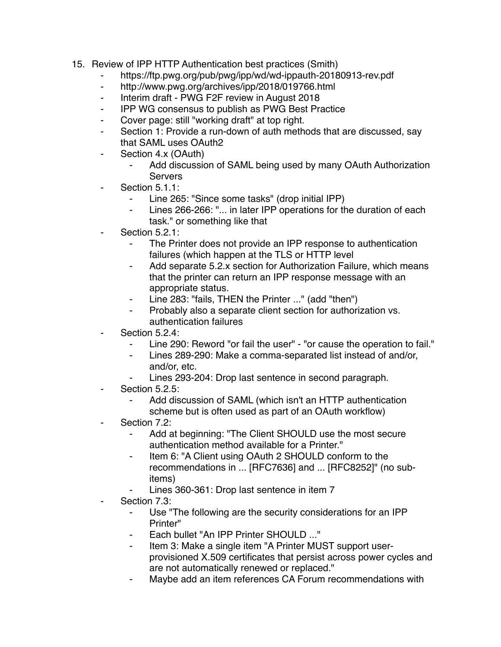- 15. Review of IPP HTTP Authentication best practices (Smith)
	- ⁃ https://ftp.pwg.org/pub/pwg/ipp/wd/wd-ippauth-20180913-rev.pdf
	- http://www.pwg.org/archives/ipp/2018/019766.html
	- ⁃ Interim draft PWG F2F review in August 2018
	- ⁃ IPP WG consensus to publish as PWG Best Practice
	- Cover page: still "working draft" at top right.
	- Section 1: Provide a run-down of auth methods that are discussed, say that SAML uses OAuth2
	- Section 4.x (OAuth)
		- Add discussion of SAML being used by many OAuth Authorization **Servers**
	- Section 5.1.1:
		- Line 265: "Since some tasks" (drop initial IPP)
		- ⁃ Lines 266-266: "... in later IPP operations for the duration of each task." or something like that
	- Section 5.2.1:
		- ⁃ The Printer does not provide an IPP response to authentication failures (which happen at the TLS or HTTP level
		- Add separate 5.2.x section for Authorization Failure, which means that the printer can return an IPP response message with an appropriate status.
		- ⁃ Line 283: "fails, THEN the Printer ..." (add "then")
		- Probably also a separate client section for authorization vs. authentication failures
	- Section 5.2.4:
		- Line 290: Reword "or fail the user" "or cause the operation to fail."
		- ⁃ Lines 289-290: Make a comma-separated list instead of and/or, and/or, etc.
		- Lines 293-204: Drop last sentence in second paragraph.
	- Section 5.2.5:
		- Add discussion of SAML (which isn't an HTTP authentication scheme but is often used as part of an OAuth workflow)
	- Section 7.2:
		- ⁃ Add at beginning: "The Client SHOULD use the most secure authentication method available for a Printer."
		- Item 6: "A Client using OAuth 2 SHOULD conform to the recommendations in ... [RFC7636] and ... [RFC8252]" (no subitems)
		- Lines 360-361: Drop last sentence in item 7
	- Section 7.3:
		- ⁃ Use "The following are the security considerations for an IPP Printer"
		- Each bullet "An IPP Printer SHOULD ..."
		- ⁃ Item 3: Make a single item "A Printer MUST support userprovisioned X.509 certificates that persist across power cycles and are not automatically renewed or replaced."
		- Maybe add an item references CA Forum recommendations with